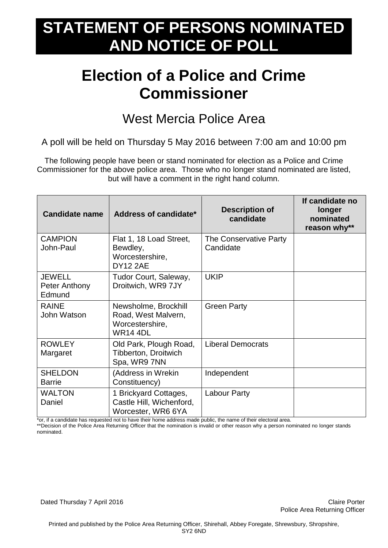## **STATEMENT OF PERSONS NOMINATED AND NOTICE OF POLL**

## **Election of a Police and Crime Commissioner**

## West Mercia Police Area

A poll will be held on Thursday 5 May 2016 between 7:00 am and 10:00 pm

The following people have been or stand nominated for election as a Police and Crime Commissioner for the above police area. Those who no longer stand nominated are listed, but will have a comment in the right hand column.

| <b>Candidate name</b>                    | Address of candidate*                                                             | <b>Description of</b><br>candidate  | If candidate no<br>longer<br>nominated<br>reason why** |
|------------------------------------------|-----------------------------------------------------------------------------------|-------------------------------------|--------------------------------------------------------|
| <b>CAMPION</b><br>John-Paul              | Flat 1, 18 Load Street,<br>Bewdley,<br>Worcestershire,<br><b>DY12 2AE</b>         | The Conservative Party<br>Candidate |                                                        |
| <b>JEWELL</b><br>Peter Anthony<br>Edmund | Tudor Court, Saleway,<br>Droitwich, WR9 7JY                                       | <b>UKIP</b>                         |                                                        |
| <b>RAINE</b><br>John Watson              | Newsholme, Brockhill<br>Road, West Malvern,<br>Worcestershire,<br><b>WR14 4DL</b> | <b>Green Party</b>                  |                                                        |
| <b>ROWLEY</b><br>Margaret                | Old Park, Plough Road,<br>Tibberton, Droitwich<br>Spa, WR9 7NN                    | <b>Liberal Democrats</b>            |                                                        |
| <b>SHELDON</b><br><b>Barrie</b>          | (Address in Wrekin<br>Constituency)                                               | Independent                         |                                                        |
| <b>WALTON</b><br>Daniel                  | 1 Brickyard Cottages,<br>Castle Hill, Wichenford,<br>Worcester, WR6 6YA           | <b>Labour Party</b>                 |                                                        |

\*or, if a candidate has requested not to have their home address made public, the name of their electoral area.

\*\*Decision of the Police Area Returning Officer that the nomination is invalid or other reason why a person nominated no longer stands nominated.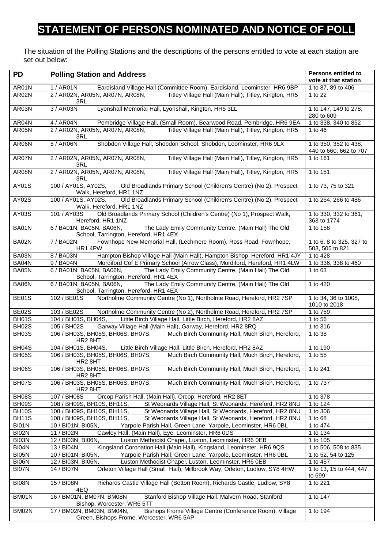## **STATEMENT OF PERSONS NOMINATED AND NOTICE OF POLL**

The situation of the Polling Stations and the descriptions of the persons entitled to vote at each station are set out below:

| <b>PD</b>          | <b>Polling Station and Address</b>                                                                                               | <b>Persons entitled to</b><br>vote at that station |
|--------------------|----------------------------------------------------------------------------------------------------------------------------------|----------------------------------------------------|
| AR01N              | 1 / AR01N<br>Eardisland Village Hall (Committee Room), Eardisland, Leominster, HR6 9BP                                           | 1 to 87, 89 to 406                                 |
| AR02N              | 2 / AR02N, AR05N, AR07N, AR08N,<br>Titley Village Hall (Main Hall), Titley, Kington, HR5<br>3RL                                  | 1 to 22                                            |
| AR03N              | Lyonshall Memorial Hall, Lyonshall, Kington, HR5 3LL<br>3 / AR03N                                                                | 1 to 147, 149 to 278,<br>280 to 609                |
| AR04N              | 4 / AR04N<br>Pembridge Village Hall, (Small Room), Bearwood Road, Pembridge, HR6 9EA                                             | 1 to 338, 340 to 852                               |
| AR05N              | 2 / AR02N, AR05N, AR07N, AR08N,<br>Titley Village Hall (Main Hall), Titley, Kington, HR5<br>3RL                                  | 1 to 46                                            |
| AR06N              | 5 / AR06N<br>Shobdon Village Hall, Shobdon School, Shobdon, Leominster, HR6 9LX                                                  | 1 to 350, 352 to 438,<br>440 to 660, 662 to 707    |
| AR07N              | Titley Village Hall (Main Hall), Titley, Kington, HR5<br>2 / AR02N, AR05N, AR07N, AR08N,<br>3RL                                  | 1 to 161                                           |
| AR08N              | 2 / AR02N, AR05N, AR07N, AR08N,<br>Titley Village Hall (Main Hall), Titley, Kington, HR5<br>3RL                                  | 1 to 151                                           |
| AY01S              | 100 / AY01S, AY02S,<br>Old Broadlands Primary School (Children's Centre) (No 2), Prospect<br>Walk, Hereford, HR1 1NZ             | 1 to 73, 75 to 321                                 |
| AY02S              | Old Broadlands Primary School (Children's Centre) (No 2), Prospect<br>100 / AY01S, AY02S,<br>Walk, Hereford, HR1 1NZ             | 1 to 264, 266 to 486                               |
| AY03S              | Old Broadlands Primary School (Children's Centre) (No 1), Prospect Walk,<br>101 / AY03S<br>Hereford, HR1 1NZ                     | 1 to 330, 332 to 361,<br>363 to 1774               |
| BA01N              | The Lady Emily Community Centre, (Main Hall) The Old<br>6 / BA01N, BA05N, BA06N,<br>School, Tarrington, Hereford, HR1 4EX        | 1 to 158                                           |
| BA02N              | 7 / BA02N<br>Fownhope New Memorial Hall, (Lechmere Room), Ross Road, Fownhope,<br>HR1 4PW                                        | 1 to 6, 8 to 325, 327 to<br>503, 505 to 821        |
| BA03N              | 8 / BA03N<br>Hampton Bishop Village Hall (Main Hall), Hampton Bishop, Hereford, HR1 4JY                                          | 1 to 428                                           |
| BA04N              | Mordiford Cof E Primary School (Arrow Class), Mordiford, Hereford, HR1 4LW<br>9 / BA04N                                          | 1 to 336, 338 to 460                               |
| BA05N              | 6 / BA01N, BA05N, BA06N, The Lady Emily Community Centre, (Main Hall) The Old<br>School, Tarrington, Hereford, HR1 4EX           | 1 to 63                                            |
| BA06N              | The Lady Emily Community Centre, (Main Hall) The Old<br>6 / BA01N, BA05N, BA06N,<br>School, Tarrington, Hereford, HR1 4EX        | 1 to 420                                           |
| BE01S              | Northolme Community Centre (No 1), Northolme Road, Hereford, HR2 7SP<br>102 / BE01S                                              | 1 to 34, 36 to 1008,<br>1010 to 2018               |
| <b>BE02S</b>       | Northolme Community Centre (No 2), Northolme Road, Hereford, HR2 7SP<br>103 / BE02S                                              | 1 to 759                                           |
| BH01S              | 104 / BH01S, BH04S,<br>Little Birch Village Hall, Little Birch, Hereford, HR2 8AZ                                                | 1 to 56                                            |
| BH <sub>02</sub> S | 105 / BH02S<br>Garway Village Hall (Main Hall), Garway, Hereford, HR2 8RQ                                                        | 1 to 316                                           |
| BH03S              | 106 / BH03S, BH05S, BH06S, BH07S,<br>Much Birch Community Hall, Much Birch, Hereford,<br>HR <sub>2</sub> 8HT                     | 1 to 38                                            |
| <b>BH04S</b>       | Little Birch Village Hall, Little Birch, Hereford, HR2 8AZ<br>104 / BH01S, BH04S,                                                | 1 to 190                                           |
| <b>BH05S</b>       | 106 / BH03S, BH05S, BH06S, BH07S,<br>Much Birch Community Hall, Much Birch, Hereford,<br>HR <sub>2</sub> 8HT                     | 1 to 55                                            |
| BH06S              | Much Birch Community Hall, Much Birch, Hereford,<br>106 / BH03S, BH05S, BH06S, BH07S,<br>HR <sub>2</sub> 8HT                     | 1 to 241                                           |
| BH07S              | 106 / BH03S, BH05S, BH06S, BH07S,<br>Much Birch Community Hall, Much Birch, Hereford,<br>HR <sub>2</sub> 8HT                     | 1 to 737                                           |
| BH08S              | 107 / BH08S<br>Orcop Parish Hall, (Main Hall), Orcop, Hereford, HR2 8ET                                                          | 1 to 378                                           |
| BH09S              | St Weonards Village Hall, St Weonards, Hereford, HR2 8NU<br>108 / BH09S, BH10S, BH11S,                                           | 1 to 124                                           |
| <b>BH10S</b>       | 108 / BH09S, BH10S, BH11S,<br>St Weonards Village Hall, St Weonards, Hereford, HR2 8NU                                           | 1 to 306                                           |
| <b>BH11S</b>       | 108 / BH09S, BH10S, BH11S,<br>St Weonards Village Hall, St Weonards, Hereford, HR2 8NU                                           | 1 to 68                                            |
| BI01N              | 10 / BI01N, BI05N,<br>Yarpole Parish Hall, Green Lane, Yarpole, Leominster, HR6 0BL                                              | 1 to 474                                           |
| BI02N              | 11 / BI02N<br>Cawley Hall, (Main Hall), Eye, Leominster, HR6 0DS                                                                 | 1 to 134                                           |
| BI03N              | 12 / BI03N, BI06N,<br>Luston Methodist Chapel, Luston, Leominster, HR6 0EB                                                       | 1 to 105                                           |
| BI04N              | Kingsland Coronation Hall (Main Hall), Kingsland, Leominster, HR6 9QS<br>13 / BI04N                                              | 1 to 506, 508 to 835                               |
| BI05N              | 10 / BI01N, BI05N,<br>Yarpole Parish Hall, Green Lane, Yarpole, Leominster, HR6 0BL                                              | 1 to 52, 54 to 125                                 |
| BI06N              | 12 / BI03N, BI06N,<br>Luston Methodist Chapel, Luston, Leominster, HR6 0EB                                                       | 1 to 457                                           |
| BI07N              | 14 / BI07N<br>Orleton Village Hall (Small Hall), Millbrook Way, Orleton, Ludlow, SY8 4HW                                         | 1 to 13, 15 to 444, 447<br>to 699                  |
| BI08N              | Richards Castle Village Hall (Betton Room), Richards Castle, Ludlow, SY8<br>15 / BI08N<br>4EQ                                    | 1 to 221                                           |
| BM01N              | 16 / BM01N, BM07N, BM08N<br>Stanford Bishop Village Hall, Malvern Road, Stanford<br>Bishop, Worcester, WR6 5TT                   | 1 to 147                                           |
| BM02N              | Bishops Frome Village Centre (Conference Room), Village<br>17 / BM02N, BM03N, BM04N,<br>Green, Bishops Frome, Worcester, WR6 5AP | 1 to 194                                           |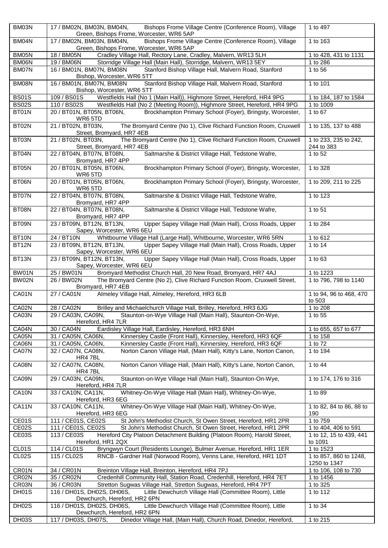| BM03N        | 17 / BM02N, BM03N, BM04N,<br>Bishops Frome Village Centre (Conference Room), Village<br>Green, Bishops Frome, Worcester, WR6 5AP | 1 to 497                               |
|--------------|----------------------------------------------------------------------------------------------------------------------------------|----------------------------------------|
| BM04N        | 17 / BM02N, BM03N, BM04N,<br>Bishops Frome Village Centre (Conference Room), Village<br>Green, Bishops Frome, Worcester, WR6 5AP | 1 to 163                               |
| BM05N        | Cradley Village Hall, Rectory Lane, Cradley, Malvern, WR13 5LH<br>18 / BM05N                                                     | 1 to 428, 431 to 1131                  |
| BM06N        | 19 / BM06N<br>Storridge Village Hall (Main Hall), Storridge, Malvern, WR13 5EY                                                   | 1 to 286                               |
| BM07N        | 16 / BM01N, BM07N, BM08N<br>Stanford Bishop Village Hall, Malvern Road, Stanford<br>Bishop, Worcester, WR6 5TT                   | 1 to 56                                |
| BM08N        | Stanford Bishop Village Hall, Malvern Road, Stanford<br>16 / BM01N, BM07N, BM08N<br>Bishop, Worcester, WR6 5TT                   | 1 to 101                               |
| <b>BS01S</b> | 109 / BS01S<br>Westfields Hall (No 1 (Main Hall)), Highmore Street, Hereford, HR4 9PG                                            | 1 to 184, 187 to 1584                  |
| <b>BS02S</b> | 110 / BS02S<br>Westfields Hall (No 2 (Meeting Room)), Highmore Street, Hereford, HR4 9PG                                         | 1 to 1009                              |
| BT01N        | 20 / BT01N, BT05N, BT06N,<br>Brockhampton Primary School (Foyer), Bringsty, Worcester,                                           | 1 to 67                                |
| BT02N        | WR65TD<br>21 / BT02N, BT03N,<br>The Bromyard Centre (No 1), Clive Richard Function Room, Cruxwell                                | 1 to 135, 137 to 488                   |
| BT03N        | Street, Bromyard, HR7 4EB<br>The Bromyard Centre (No 1), Clive Richard Function Room, Cruxwell<br>21 / BT02N, BT03N,             | 1 to 233, 235 to 242,                  |
| BT04N        | Street, Bromyard, HR7 4EB<br>Saltmarshe & District Village Hall, Tedstone Wafre,<br>22 / BT04N, BT07N, BT08N,                    | 244 to 383<br>1 to 52                  |
|              | Bromyard, HR7 4PP                                                                                                                |                                        |
| BT05N        | Brockhampton Primary School (Foyer), Bringsty, Worcester,<br>20 / BT01N, BT05N, BT06N,<br>WR6 5TD                                | 1 to 328                               |
| BT06N        | 20 / BT01N, BT05N, BT06N,<br>Brockhampton Primary School (Foyer), Bringsty, Worcester,<br>WR6 5TD                                | 1 to 209, 211 to 225                   |
| BT07N        | 22 / BT04N, BT07N, BT08N,<br>Saltmarshe & District Village Hall, Tedstone Wafre,<br>Bromyard, HR7 4PP                            | 1 to 123                               |
| BT08N        | 22 / BT04N, BT07N, BT08N,<br>Saltmarshe & District Village Hall, Tedstone Wafre,<br>Bromyard, HR7 4PP                            | 1 to 51                                |
| BT09N        | Upper Sapey Village Hall (Main Hall), Cross Roads, Upper<br>23 / BT09N, BT12N, BT13N,<br>Sapey, Worcester, WR6 6EU               | 1 to 284                               |
| BT10N        | Whitbourne Village Hall (Large Hall), Whitbourne, Worcester, WR6 5RN<br>24 / BT10N                                               | 1 to 612                               |
| BT12N        | 23 / BT09N, BT12N, BT13N,<br>Upper Sapey Village Hall (Main Hall), Cross Roads, Upper<br>Sapey, Worcester, WR6 6EU               | 1 to 14                                |
| BT13N        | 23 / BT09N, BT12N, BT13N,<br>Upper Sapey Village Hall (Main Hall), Cross Roads, Upper<br>Sapey, Worcester, WR6 6EU               | 1 to 63                                |
| BW01N        | 25 / BW01N<br>Bromyard Methodist Church Hall, 20 New Road, Bromyard, HR7 4AJ                                                     | 1 to 1223                              |
| <b>BW02N</b> | The Bromyard Centre (No 2), Clive Richard Function Room, Cruxwell Street,<br>26 / BW02N<br>Bromyard, HR7 4EB                     | 1 to 796, 798 to 1140                  |
| CA01N        | 27 / CA01N<br>Almeley Village Hall, Almeley, Hereford, HR3 6LB                                                                   | 1 to 94, 96 to 468, 470<br>to 503      |
| CA02N        | 28 / CA02N<br>Brilley and Michaelchurch Village Hall, Brilley, Hereford, HR3 6JG                                                 | 1 to 208                               |
| CA03N        | 29 / CA03N, CA09N,<br>Staunton-on-Wye Village Hall (Main Hall), Staunton-On-Wye,                                                 | 1 to 55                                |
|              | Hereford, HR4 7LR                                                                                                                |                                        |
| CA04N        | Eardisley Village Hall, Eardisley, Hereford, HR3 6NH<br>30 / CA04N                                                               | 1 to 655, 657 to 677                   |
| CA05N        | 31 / CA05N, CA06N,<br>Kinnersley Castle (Front Hall), Kinnersley, Hereford, HR3 6QF                                              | 1 to 158                               |
| CA06N        | 31 / CA05N, CA06N,<br>Kinnersley Castle (Front Hall), Kinnersley, Hereford, HR3 6QF                                              | 1 to 72                                |
| CA07N        | 32 / CA07N, CA08N,<br>Norton Canon Village Hall, (Main Hall), Kitty's Lane, Norton Canon,                                        | 1 to 194                               |
| CA08N        | HR4 7BL<br>Norton Canon Village Hall, (Main Hall), Kitty's Lane, Norton Canon,<br>32 / CA07N, CA08N,                             | 1 to 44                                |
| CA09N        | HR4 7BL<br>Staunton-on-Wye Village Hall (Main Hall), Staunton-On-Wye,<br>29 / CA03N, CA09N,                                      | 1 to 174, 176 to 316                   |
|              | Hereford, HR4 7LR                                                                                                                |                                        |
| CA10N        | Whitney-On-Wye Village Hall (Main Hall), Whitney-On-Wye,<br>33 / CA10N, CA11N,<br>Hereford, HR3 6EG                              | 1 to 89                                |
| CA11N        | Whitney-On-Wye Village Hall (Main Hall), Whitney-On-Wye,<br>33 / CA10N, CA11N,<br>Hereford, HR3 6EG                              | 1 to 82, 84 to 86, 88 to<br>190        |
| CE01S        | 111 / CE01S, CE02S<br>St John's Methodist Church, St Owen Street, Hereford, HR1 2PR                                              | 1 to 759                               |
| CE02S        | 111 / CE01S, CE02S<br>St John's Methodist Church, St Owen Street, Hereford, HR1 2PR                                              | 1 to 404, 406 to 591                   |
| CE03S        | Hereford City Platoon Detachment Building (Platoon Room), Harold Street,<br>113 / CE03S<br>Hereford, HR1 2QX                     | 1 to 12, 15 to 439, 441<br>to 1091     |
| CL01S        | Bryngwyn Court (Residents Lounge), Bulmer Avenue, Hereford, HR1 1ER<br>114 / CL01S                                               | 1 to 1523                              |
| CL02S        | 115 / CL02S<br>RNCB - Gardner Hall (Norwood Room), Venns Lane, Hereford, HR1 1DT                                                 | 1 to 857, 860 to 1248,<br>1250 to 1347 |
| CR01N        | 34 / CR01N<br>Breinton Village Hall, Breinton, Hereford, HR4 7PJ                                                                 | 1 to 106, 108 to 730                   |
| CR02N        | Credenhill Community Hall, Station Road, Credenhill, Hereford, HR4 7ET<br>35 / CR02N                                             | 1 to 1456                              |
| CR03N        | Stretton Sugwas Village Hall, Stretton Sugwas, Hereford, HR4 7PT<br>36 / CR03N                                                   | 1 to 325                               |
| DH01S        | 116 / DH01S, DH02S, DH06S,<br>Little Dewchurch Village Hall (Committee Room), Little<br>Dewchurch, Hereford, HR2 6PN             | 1 to 112                               |
| DH02S        | Little Dewchurch Village Hall (Committee Room), Little<br>116 / DH01S, DH02S, DH06S,<br>Dewchurch, Hereford, HR2 6PN             | 1 to 34                                |
| DH03S        | Dinedor Village Hall, (Main Hall), Church Road, Dinedor, Hereford,<br>117 / DH03S, DH07S,                                        | 1 to 215                               |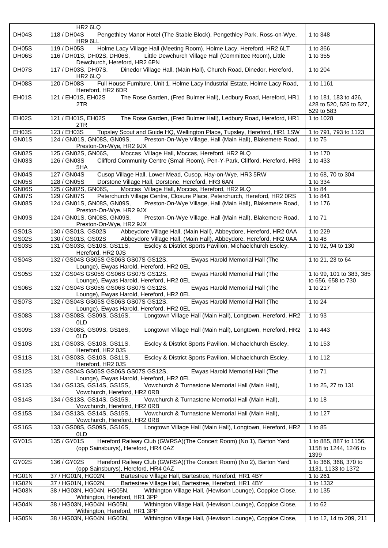|              | HR <sub>2</sub> 6LQ                                                                                                       |                                                                |
|--------------|---------------------------------------------------------------------------------------------------------------------------|----------------------------------------------------------------|
| DH04S        | 118 / DH04S<br>Pengethley Manor Hotel (The Stable Block), Pengethley Park, Ross-on-Wye,<br>HR9 6LL                        | 1 to 348                                                       |
| DH05S        | Holme Lacy Village Hall (Meeting Room), Holme Lacy, Hereford, HR2 6LT<br>119 / DH05S                                      | 1 to 366                                                       |
| DH06S        | 116 / DH01S, DH02S, DH06S,<br>Little Dewchurch Village Hall (Committee Room), Little<br>Dewchurch, Hereford, HR2 6PN      | 1 to 355                                                       |
| DH07S        | Dinedor Village Hall, (Main Hall), Church Road, Dinedor, Hereford,<br>117 / DH03S, DH07S,<br>HR <sub>2</sub> 6LQ          | 1 to 204                                                       |
| DH08S        | Full House Furniture, Unit 1, Holme Lacy Industrial Estate, Holme Lacy Road,<br>120 / DH08S<br>Hereford, HR2 6DR          | 1 to 1161                                                      |
| EH01S        | The Rose Garden, (Fred Bulmer Hall), Ledbury Road, Hereford, HR1<br>121 / EH01S, EH02S<br>2TR                             | 1 to 181, 183 to 426,<br>428 to 520, 525 to 527,<br>529 to 583 |
| EH02S        | The Rose Garden, (Fred Bulmer Hall), Ledbury Road, Hereford, HR1<br>121 / EH01S, EH02S<br>2TR                             | 1 to 1028                                                      |
| EH03S        | 123 / EH03S<br>Tupsley Scout and Guide HQ, Wellington Place, Tupsley, Hereford, HR1 1SW                                   | 1 to 791, 793 to 1123                                          |
| GN01S        | 124 / GN01S, GN08S, GN09S,<br>Preston-On-Wye Village, Hall (Main Hall), Blakemere Road,<br>Preston-On-Wye, HR2 9JX        | 1 to 75                                                        |
| <b>GN02S</b> | Moccas Village Hall, Moccas, Hereford, HR2 9LQ<br>125 / GN02S, GN06S,                                                     | 1 to 170                                                       |
| <b>GN03S</b> | Clifford Community Centre (Small Room), Pen-Y-Park, Clifford, Hereford, HR3<br>126 / GN03S<br>5HA                         | 1 to 433                                                       |
| <b>GN04S</b> | 127 / GN04S<br>Cusop Village Hall, Lower Mead, Cusop, Hay-on-Wye, HR3 5RW                                                 | 1 to 68, 70 to 304                                             |
| <b>GN05S</b> | 128 / GN05S<br>Dorstone Village Hall, Dorstone, Hereford, HR3 6AN                                                         | 1 to 334                                                       |
| GN06S        | 125 / GN02S, GN06S,<br>Moccas Village Hall, Moccas, Hereford, HR2 9LQ                                                     | 1 to 84                                                        |
| GN07S        | 129 / GN07S<br>Peterchurch Village Centre, Closure Place, Peterchurch, Hereford, HR2 0RS                                  | 1 to 841                                                       |
| <b>GN08S</b> | 124 / GN01S, GN08S, GN09S,<br>Preston-On-Wye Village, Hall (Main Hall), Blakemere Road,<br>Preston-On-Wye, HR2 9JX        | 1 to 176                                                       |
| GN09S        | 124 / GN01S, GN08S, GN09S,<br>Preston-On-Wye Village, Hall (Main Hall), Blakemere Road,<br>Preston-On-Wye, HR2 9JX        | 1 to 71                                                        |
| <b>GS01S</b> | Abbeydore Village Hall, (Main Hall), Abbeydore, Hereford, HR2 0AA<br>130 / GS01S, GS02S                                   | 1 to 229                                                       |
| GS02S        | 130 / GS01S, GS02S<br>Abbeydore Village Hall, (Main Hall), Abbeydore, Hereford, HR2 0AA                                   | 1 to 48                                                        |
| GS03S        | 131 / GS03S, GS10S, GS11S,<br>Escley & District Sports Pavilion, Michaelchurch Escley,<br>Hereford, HR2 0JS               | 1 to 92, 94 to 130                                             |
| <b>GS04S</b> | 132 / GS04S GS05S GS06S GS07S GS12S,<br>Ewyas Harold Memorial Hall (The<br>Lounge), Ewyas Harold, Hereford, HR2 OEL       | 1 to 21, 23 to 64                                              |
| <b>GS05S</b> | Ewyas Harold Memorial Hall (The<br>132 / GS04S GS05S GS06S GS07S GS12S,<br>Lounge), Ewyas Harold, Hereford, HR2 OEL       | 1 to 99, 101 to 383, 385<br>to 656, 658 to 730                 |
| <b>GS06S</b> | Ewyas Harold Memorial Hall (The<br>132 / GS04S GS05S GS06S GS07S GS12S,<br>Lounge), Ewyas Harold, Hereford, HR2 OEL       | 1 to 217                                                       |
| GS07S        | 132 / GS04S GS05S GS06S GS07S GS12S,<br>Ewyas Harold Memorial Hall (The<br>Lounge), Ewyas Harold, Hereford, HR2 0EL       | 1 to 24                                                        |
| <b>GS08S</b> | 133 / GS08S, GS09S, GS16S, Longtown Village Hall (Main Hall), Longtown, Hereford, HR2<br>0LD                              | 1 to 93                                                        |
| <b>GS09S</b> | 133 / GS08S, GS09S, GS16S,<br>Longtown Village Hall (Main Hall), Longtown, Hereford, HR2<br>0LD                           | 1 to 443                                                       |
| <b>GS10S</b> | 131 / GS03S, GS10S, GS11S,<br>Escley & District Sports Pavilion, Michaelchurch Escley,<br>Hereford, HR2 0JS               | 1 to 153                                                       |
| <b>GS11S</b> | 131 / GS03S, GS10S, GS11S,<br>Escley & District Sports Pavilion, Michaelchurch Escley,<br>Hereford, HR2 0JS               | 1 to 112                                                       |
| <b>GS12S</b> | 132 / GS04S GS05S GS06S GS07S GS12S,<br>Ewyas Harold Memorial Hall (The<br>Lounge), Ewyas Harold, Hereford, HR2 OEL       | 1 to 71                                                        |
| <b>GS13S</b> | Vowchurch & Turnastone Memorial Hall (Main Hall),<br>134 / GS13S, GS14S, GS15S,<br>Vowchurch, Hereford, HR2 ORB           | 1 to 25, 27 to 131                                             |
| <b>GS14S</b> | Vowchurch & Turnastone Memorial Hall (Main Hall),<br>134 / GS13S, GS14S, GS15S,<br>Vowchurch, Hereford, HR2 0RB           | 1 to 18                                                        |
| <b>GS15S</b> | 134 / GS13S, GS14S, GS15S,<br>Vowchurch & Turnastone Memorial Hall (Main Hall),<br>Vowchurch, Hereford, HR2 ORB           | 1 to 127                                                       |
| <b>GS16S</b> | Longtown Village Hall (Main Hall), Longtown, Hereford, HR2<br>133 / GS08S, GS09S, GS16S,<br>0LD                           | 1 to 85                                                        |
| GY01S        | Hereford Railway Club (GWRSA)(The Concert Room) (No 1), Barton Yard<br>135 / GY01S<br>(opp Sainsburys), Hereford, HR4 0AZ | 1 to 885, 887 to 1156,<br>1158 to 1244, 1246 to<br>1399        |
| GY02S        | 136 / GY02S<br>Hereford Railway Club (GWRSA)(The Concert Room) (No 2), Barton Yard<br>(opp Sainsburys), Hereford, HR4 0AZ | 1 to 366, 368, 370 to<br>1131, 1133 to 1372                    |
| HG01N        | 37 / HG01N, HG02N,<br>Bartestree Village Hall, Bartestree, Hereford, HR1 4BY                                              | 1 to 261                                                       |
| HG02N        | 37 / HG01N, HG02N,<br>Bartestree Village Hall, Bartestree, Hereford, HR1 4BY                                              | 1 to 1332                                                      |
| HG03N        | 38 / HG03N, HG04N, HG05N,<br>Withington Village Hall, (Hewison Lounge), Coppice Close,<br>Withington, Hereford, HR1 3PP   | 1 to 135                                                       |
| HG04N        | Withington Village Hall, (Hewison Lounge), Coppice Close,<br>38 / HG03N, HG04N, HG05N,<br>Withington, Hereford, HR1 3PP   | 1 to 62                                                        |
| HG05N        | Withington Village Hall, (Hewison Lounge), Coppice Close,<br>38 / HG03N, HG04N, HG05N,                                    | 1 to 12, 14 to 209, 211                                        |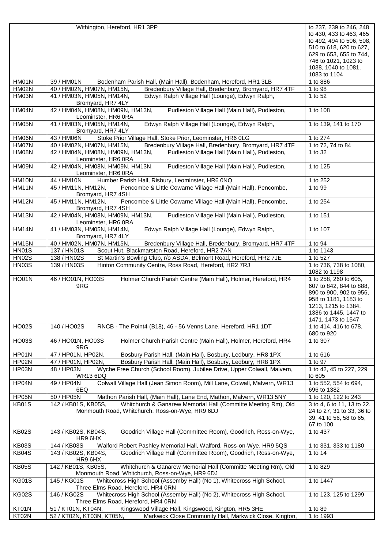|                | Withington, Hereford, HR1 3PP                                                                                                                                     | to 237, 239 to 246, 248                                 |
|----------------|-------------------------------------------------------------------------------------------------------------------------------------------------------------------|---------------------------------------------------------|
|                |                                                                                                                                                                   | to 430, 433 to 463, 465                                 |
|                |                                                                                                                                                                   | to 492, 494 to 506, 508,                                |
|                |                                                                                                                                                                   | 510 to 618, 620 to 627,                                 |
|                |                                                                                                                                                                   | 629 to 653, 655 to 744,                                 |
|                |                                                                                                                                                                   | 746 to 1021, 1023 to                                    |
|                |                                                                                                                                                                   | 1038, 1040 to 1081,                                     |
| HM01N          | 39 / HM01N                                                                                                                                                        | 1083 to 1104<br>1 to 886                                |
| HM02N          | Bodenham Parish Hall, (Main Hall), Bodenham, Hereford, HR1 3LB<br>40 / HM02N, HM07N, HM15N,<br>Bredenbury Village Hall, Bredenbury, Bromyard, HR7 4TF             | 1 to 98                                                 |
| HM03N          | Edwyn Ralph Village Hall (Lounge), Edwyn Ralph,<br>41 / HM03N, HM05N, HM14N,                                                                                      | 1 to 52                                                 |
|                | Bromyard, HR7 4LY                                                                                                                                                 |                                                         |
| HM04N          | 42 / HM04N, HM08N, HM09N, HM13N,<br>Pudleston Village Hall (Main Hall), Pudleston,                                                                                | 1 to 108                                                |
|                | Leominster, HR6 0RA                                                                                                                                               |                                                         |
| HM05N          | Edwyn Ralph Village Hall (Lounge), Edwyn Ralph,<br>41 / HM03N, HM05N, HM14N,                                                                                      | 1 to 139, 141 to 170                                    |
|                | Bromyard, HR7 4LY                                                                                                                                                 |                                                         |
| HM06N          | Stoke Prior Village Hall, Stoke Prior, Leominster, HR6 0LG<br>43 / HM06N                                                                                          | 1 to 274                                                |
| HM07N          | Bredenbury Village Hall, Bredenbury, Bromyard, HR7 4TF<br>40 / HM02N, HM07N, HM15N,                                                                               | 1 to 72, 74 to 84                                       |
| HM08N          | Pudleston Village Hall (Main Hall), Pudleston,<br>42 / HM04N, HM08N, HM09N, HM13N,                                                                                | 1 to 32                                                 |
|                | Leominster, HR6 0RA<br>42 / HM04N, HM08N, HM09N, HM13N,                                                                                                           |                                                         |
| HM09N          | Pudleston Village Hall (Main Hall), Pudleston,<br>Leominster, HR6 0RA                                                                                             | 1 to 125                                                |
| HM10N          | Humber Parish Hall, Risbury, Leominster, HR6 0NQ<br>44 / HM10N                                                                                                    | 1 to 252                                                |
| HM11N          | Pencombe & Little Cowarne Village Hall (Main Hall), Pencombe,<br>45 / HM11N, HM12N,                                                                               | 1 to 99                                                 |
|                | Bromyard, HR7 4SH                                                                                                                                                 |                                                         |
| <b>HM12N</b>   | Pencombe & Little Cowarne Village Hall (Main Hall), Pencombe,<br>45 / HM11N, HM12N,                                                                               | 1 to 254                                                |
|                | Bromyard, HR7 4SH                                                                                                                                                 |                                                         |
| HM13N          | Pudleston Village Hall (Main Hall), Pudleston,<br>42 / HM04N, HM08N, HM09N, HM13N,                                                                                | 1 to 151                                                |
|                | Leominster, HR6 0RA                                                                                                                                               |                                                         |
| <b>HM14N</b>   | 41 / HM03N, HM05N, HM14N,<br>Edwyn Ralph Village Hall (Lounge), Edwyn Ralph,                                                                                      | 1 to 107                                                |
| <b>HM15N</b>   | Bromyard, HR7 4LY<br>40 / HM02N, HM07N, HM15N,<br>Bredenbury Village Hall, Bredenbury, Bromyard, HR7 4TF                                                          | 1 to 94                                                 |
| <b>HN01S</b>   | 137 / HN01S<br>Scout Hut, Blackmarston Road, Hereford, HR2 7AN                                                                                                    | 1 to 1143                                               |
| <b>HN02S</b>   | 138 / HN02S<br>St Martin's Bowling Club, r/o ASDA, Belmont Road, Hereford, HR2 7JE                                                                                | 1 to 527                                                |
| <b>HN03S</b>   | Hinton Community Centre, Ross Road, Hereford, HR2 7RJ<br>139 / HN03S                                                                                              | 1 to 736, 738 to 1080,                                  |
|                |                                                                                                                                                                   | 1082 to 1198                                            |
| <b>HO01N</b>   | Holmer Church Parish Centre (Main Hall), Holmer, Hereford, HR4<br>46 / HO01N, HO03S                                                                               | 1 to 258, 260 to 605,                                   |
|                | 9RG                                                                                                                                                               | 607 to 842, 844 to 888,                                 |
|                |                                                                                                                                                                   | 890 to 900, 902 to 956,                                 |
|                |                                                                                                                                                                   |                                                         |
|                |                                                                                                                                                                   | 958 to 1181, 1183 to                                    |
|                |                                                                                                                                                                   | 1213, 1215 to 1384,                                     |
|                |                                                                                                                                                                   | 1386 to 1445, 1447 to                                   |
|                |                                                                                                                                                                   | 1471, 1473 to 1547                                      |
| <b>HO02S</b>   | RNCB - The Point4 (B18), 46 - 56 Venns Lane, Hereford, HR1 1DT<br>140 / HO02S                                                                                     | 1 to 414, 416 to 678,                                   |
|                |                                                                                                                                                                   | 680 to 920<br>1 to 307                                  |
| <b>HO03S</b>   | Holmer Church Parish Centre (Main Hall), Holmer, Hereford, HR4<br>46 / HO01N, HO03S<br>9RG                                                                        |                                                         |
| HP01N          | 47 / HP01N, HP02N,<br>Bosbury Parish Hall, (Main Hall), Bosbury, Ledbury, HR8 1PX                                                                                 | 1 to 616                                                |
| HP02N          | Bosbury Parish Hall, (Main Hall), Bosbury, Ledbury, HR8 1PX<br>47 / HP01N, HP02N,                                                                                 | 1 to 97                                                 |
| HP03N          | Wyche Free Church (School Room), Jubilee Drive, Upper Colwall, Malvern,<br>48 / HP03N                                                                             | 1 to 42, 45 to 227, 229                                 |
|                | <b>WR13 6DQ</b>                                                                                                                                                   | to 605                                                  |
| HP04N          | Colwall Village Hall (Jean Simon Room), Mill Lane, Colwall, Malvern, WR13<br>49 / HP04N                                                                           | 1 to 552, 554 to 694,                                   |
|                | 6EQ                                                                                                                                                               | 696 to 1382                                             |
| HP05N          | 50 / HP05N<br>Mathon Parish Hall, (Main Hall), Lane End, Mathon, Malvern, WR13 5NY<br>142 / KB01S, KB05S,                                                         | 1 to 120, 122 to 243                                    |
| KB01S          | Whitchurch & Ganarew Memorial Hall (Committe Meeting Rm), Old<br>Monmouth Road, Whitchurch, Ross-on-Wye, HR9 6DJ                                                  | 3 to 4, 6 to 11, 13 to 22,<br>24 to 27, 31 to 33, 36 to |
|                |                                                                                                                                                                   | 39, 41 to 56, 58 to 65,                                 |
|                |                                                                                                                                                                   | 67 to 100                                               |
| <b>KB02S</b>   | Goodrich Village Hall (Committee Room), Goodrich, Ross-on-Wye,<br>143 / KB02S, KB04S,                                                                             | 1 to 437                                                |
|                | HR9 6HX                                                                                                                                                           |                                                         |
| <b>KB03S</b>   | 144 / KB03S<br>Walford Robert Pashley Memorial Hall, Walford, Ross-on-Wye, HR9 5QS                                                                                | 1 to 331, 333 to 1180                                   |
| KB04S          | Goodrich Village Hall (Committee Room), Goodrich, Ross-on-Wye,<br>143 / KB02S, KB04S,                                                                             | 1 to 14                                                 |
| <b>KB05S</b>   | HR9 6HX<br>142 / KB01S, KB05S,<br>Whitchurch & Ganarew Memorial Hall (Committe Meeting Rm), Old                                                                   | 1 to 829                                                |
|                | Monmouth Road, Whitchurch, Ross-on-Wye, HR9 6DJ                                                                                                                   |                                                         |
| <b>KG01S</b>   | Whitecross High School (Assemby Hall) (No 1), Whitecross High School,<br>145 / KG01S                                                                              | 1 to 1447                                               |
|                | Three Elms Road, Hereford, HR4 0RN                                                                                                                                |                                                         |
| <b>KG02S</b>   | Whitecross High School (Assemby Hall) (No 2), Whitecross High School,<br>146 / KG02S                                                                              | 1 to 123, 125 to 1299                                   |
|                | Three Elms Road, Hereford, HR4 0RN                                                                                                                                |                                                         |
| KT01N<br>KT02N | Kingswood Village Hall, Kingswood, Kington, HR5 3HE<br>51 / KT01N, KT04N,<br>52 / KT02N, KT03N, KT05N,<br>Markwick Close Community Hall, Markwick Close, Kington, | 1 to 89<br>1 to 1993                                    |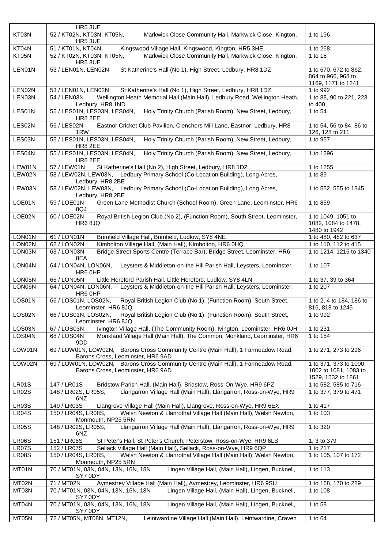|              | HR5 3UE                                                                                                                |                                                                       |
|--------------|------------------------------------------------------------------------------------------------------------------------|-----------------------------------------------------------------------|
| KT03N        | 52 / KT02N, KT03N, KT05N,<br>Markwick Close Community Hall, Markwick Close, Kington,                                   | 1 to 196                                                              |
|              | HR5 3UE                                                                                                                |                                                                       |
| KT04N        | 51 / KT01N, KT04N,<br>Kingswood Village Hall, Kingswood, Kington, HR5 3HE                                              | 1 to 268                                                              |
| KT05N        | 52 / KT02N, KT03N, KT05N,<br>Markwick Close Community Hall, Markwick Close, Kington,<br>HR5 3UE                        | 1 to 18                                                               |
| LEN01N       | 53 / LEN01N, LEN02N<br>St Katherine's Hall (No 1), High Street, Ledbury, HR8 1DZ                                       | 1 to 670, 672 to 862,<br>864 to 966, 968 to<br>1169, 1171 to 1241     |
| LEN02N       | 53 / LEN01N, LEN02N<br>St Katherine's Hall (No 1), High Street, Ledbury, HR8 1DZ                                       | 1 to 992                                                              |
| LEN03N       | Wellington Heath Memorial Hall (Main Hall), Ledbury Road, Wellington Heath,<br>54 / LEN03N<br>Ledbury, HR8 1ND         | 1 to 88, 90 to 221, 223<br>to 400                                     |
| LES01N       | Holy Trinity Church (Parish Room), New Street, Ledbury,<br>55 / LES01N, LES03N, LES04N,<br>HR8 2EE                     | 1 to 54                                                               |
| LES02N       | Eastnor Cricket Club Pavilion, Clenchers Mill Lane, Eastnor, Ledbury, HR8<br>56 / LES02N<br>1RW                        | 1 to 54, 56 to 84, 86 to<br>126, 128 to 211                           |
| LES03N       | Holy Trinity Church (Parish Room), New Street, Ledbury,<br>55 / LES01N, LES03N, LES04N,<br>HR8 2EE                     | 1 to 957                                                              |
| LES04N       | Holy Trinity Church (Parish Room), New Street, Ledbury,<br>55 / LES01N, LES03N, LES04N,<br><b>HR8 2EE</b>              | 1 to 1296                                                             |
| LEW01N       | 57 / LEW01N<br>St Katherine's Hall (No 2), High Street, Ledbury, HR8 1DZ                                               | 1 to 1255                                                             |
| LEW02N       | 58 / LEW02N, LEW03N, Ledbury Primary School (Co-Location Building), Long Acres,<br>Ledbury, HR8 2BE                    | 1 to 89                                                               |
| LEW03N       | 58 / LEW02N, LEW03N, Ledbury Primary School (Co-Location Building), Long Acres,<br>Ledbury, HR8 2BE                    | 1 to 552, 555 to 1345                                                 |
| LOE01N       | Green Lane Methodist Church (School Room), Green Lane, Leominster, HR6<br>59 / LOE01N<br>8QJ                           | 1 to 859                                                              |
| LOE02N       | Royal British Legion Club (No 2), (Function Room), South Street, Leominster,<br>60 / LOE02N<br><b>HR6 8JQ</b>          | 1 to 1049, 1051 to<br>1082, 1084 to 1478,<br>1480 to 1942             |
| LON01N       | 61 / LON01N<br>Brimfield Village Hall, Brimfield, Ludlow, SY8 4NE                                                      | 1 to 480, 482 to 637                                                  |
| LON02N       | 62 / LON02N<br>Kimbolton Village Hall, (Main Hall), Kimbolton, HR6 0HQ                                                 | 1 to 110, 112 to 415                                                  |
| LON03N       | 63 / LON03N<br>Bridge Street Sports Centre (Terrace Bar), Bridge Street, Leominster, HR6<br>8EA                        | 1 to 1214, 1216 to 1340                                               |
| LON04N       | 64 / LON04N, LON06N,<br>Leysters & Middleton-on-the Hill Parish Hall, Leysters, Leominster,<br>HR6 OHP                 | 1 to 107                                                              |
| LON05N       | Little Hereford Parish Hall, Little Hereford, Ludlow, SY8 4LN<br>65 / LON05N                                           | 1 to 37, 39 to 364                                                    |
| LON06N       | Leysters & Middleton-on-the Hill Parish Hall, Leysters, Leominster,<br>64 / LON04N, LON06N,<br>HR6 0HP                 | 1 to 207                                                              |
| LOS01N       | 66 / LOS01N, LOS02N,<br>Royal British Legion Club (No 1), (Function Room), South Street,<br>Leominster, HR6 8JQ        | 1 to 2, 4 to 184, 186 to<br>816, 818 to 1245                          |
| LOS02N       | 66 / LOS01N, LOS02N,<br>Royal British Legion Club (No 1), (Function Room), South Street,<br>Leominster, HR6 8JQ        | 1 to 992                                                              |
| LOS03N       | Ivington Village Hall, (The Community Room), Ivington, Leominster, HR6 0JH<br>67 / LOS03N                              | 1 to 231                                                              |
| LOS04N       | Monkland Village Hall (Main Hall), The Common, Monkland, Leominster, HR6<br>68 / LOS04N<br>9DD                         | 1 to 154                                                              |
| LOW01N       | 69 / LOW01N, LOW02N, Barons Cross Community Centre (Main Hall), 1 Farmeadow Road,<br>Barons Cross, Leominster, HR6 9AD | 1 to 271, 273 to 296                                                  |
| LOW02N       | 69 / LOW01N, LOW02N, Barons Cross Community Centre (Main Hall), 1 Farmeadow Road,<br>Barons Cross, Leominster, HR6 9AD | 1 to 371, 373 to 1000,<br>1002 to 1081, 1083 to<br>1529, 1532 to 1861 |
| <b>LR01S</b> | 147 / LR01S<br>Bridstow Parish Hall, (Main Hall), Bridstow, Ross-On-Wye, HR9 6PZ                                       | 1 to 582, 585 to 716                                                  |
| <b>LR02S</b> | Llangarron Village Hall (Main Hall), Llangarron, Ross-on-Wye, HR9<br>148 / LR02S, LR05S,<br>6NZ                        | 1 to 377, 379 to 471                                                  |
| <b>LR03S</b> | 149 / LR03S<br>Llangrove Village Hall (Main Hall), Llangrove, Ross-on-Wye, HR9 6EX                                     | 1 to 417                                                              |
| LR04S        | 150 / LR04S, LR08S,<br>Welsh Newton & Llanrothal Village Hall (Main Hall), Welsh Newton,<br>Monmouth, NP25 5RN         | 1 to 103                                                              |
| <b>LR05S</b> | Llangarron Village Hall (Main Hall), Llangarron, Ross-on-Wye, HR9<br>148 / LR02S, LR05S,<br>6NZ                        | 1 to 320                                                              |
| <b>LR06S</b> | 151 / LR06S<br>St Peter's Hall, St Peter's Church, Peterstow, Ross-on-Wye, HR9 6LB                                     | 1, 3 to 379                                                           |
| LR07S        | Sellack Village Hall (Main Hall), Sellack, Ross-on-Wye, HR9 6QP<br>152 / LR07S                                         | 1 to 217                                                              |
| <b>LR08S</b> | 150 / LR04S, LR08S,<br>Welsh Newton & Llanrothal Village Hall (Main Hall), Welsh Newton,<br>Monmouth, NP25 5RN         | 1 to 105, 107 to 172                                                  |
| MT01N        | Lingen Village Hall, (Main Hall), Lingen, Bucknell,<br>70 / MT01N, 03N, 04N, 13N, 16N, 18N<br>SY7 0DY                  | 1 to 113                                                              |
| MT02N        | Aymestrey Village Hall (Main Hall), Aymestrey, Leominster, HR6 9SU<br>71 / MT02N                                       | 1 to 168, 170 to 289                                                  |
| MT03N        | 70 / MT01N, 03N, 04N, 13N, 16N, 18N<br>Lingen Village Hall, (Main Hall), Lingen, Bucknell,<br>SY7 0DY                  | 1 to 108                                                              |
| MT04N        | 70 / MT01N, 03N, 04N, 13N, 16N, 18N<br>Lingen Village Hall, (Main Hall), Lingen, Bucknell,<br>SY7 0DY                  | 1 to 58                                                               |
| MT05N        | 72 / MT05N, MT08N, MT12N,<br>Leintwardine Village Hall (Main Hall), Leintwardine, Craven                               | 1 to 64                                                               |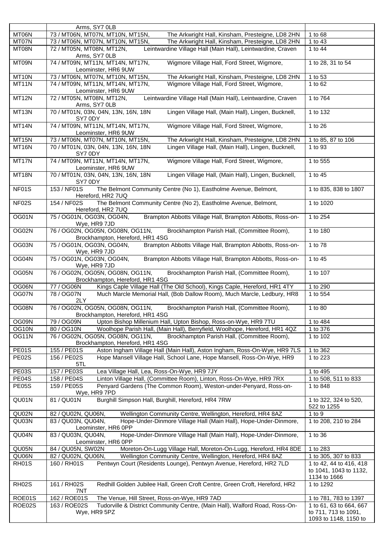|                    | Arms, SY7 0LB                                                                                                      |                                                                   |
|--------------------|--------------------------------------------------------------------------------------------------------------------|-------------------------------------------------------------------|
| MT06N              | 73 / MT06N, MT07N, MT10N, MT15N,<br>The Arkwright Hall, Kinsham, Presteigne, LD8 2HN                               | 1 to 68                                                           |
| MT07N              | 73 / MT06N, MT07N, MT10N, MT15N,<br>The Arkwright Hall, Kinsham, Presteigne, LD8 2HN                               | 1 to 43                                                           |
| MT08N              | 72 / MT05N, MT08N, MT12N,<br>Leintwardine Village Hall (Main Hall), Leintwardine, Craven                           | 1 to 44                                                           |
| MT09N              | Arms, SY7 0LB<br>Wigmore Village Hall, Ford Street, Wigmore,<br>74 / MT09N, MT11N, MT14N, MT17N,                   | 1 to 28, 31 to 54                                                 |
|                    | Leominster, HR6 9UW                                                                                                |                                                                   |
| MT10N              | 73 / MT06N, MT07N, MT10N, MT15N,<br>The Arkwright Hall, Kinsham, Presteigne, LD8 2HN                               | 1 to 53                                                           |
| MT11N              | Wigmore Village Hall, Ford Street, Wigmore,<br>74 / MT09N, MT11N, MT14N, MT17N,<br>Leominster, HR6 9UW             | 1 to 62                                                           |
| MT12N              | Leintwardine Village Hall (Main Hall), Leintwardine, Craven<br>72 / MT05N, MT08N, MT12N,<br>Arms, SY7 0LB          | 1 to 764                                                          |
| MT13N              | 70 / MT01N, 03N, 04N, 13N, 16N, 18N<br>Lingen Village Hall, (Main Hall), Lingen, Bucknell,<br>SY7 0DY              | 1 to 132                                                          |
| MT14N              | 74 / MT09N, MT11N, MT14N, MT17N,<br>Wigmore Village Hall, Ford Street, Wigmore,<br>Leominster, HR6 9UW             | 1 to 26                                                           |
| MT15N              | 73 / MT06N, MT07N, MT10N, MT15N,<br>The Arkwright Hall, Kinsham, Presteigne, LD8 2HN                               | 1 to 85, 87 to 106                                                |
| MT16N              | 70 / MT01N, 03N, 04N, 13N, 16N, 18N<br>Lingen Village Hall, (Main Hall), Lingen, Bucknell,<br>SY7 0DY              | 1 to 93                                                           |
| MT17N              | 74 / MT09N, MT11N, MT14N, MT17N,<br>Wigmore Village Hall, Ford Street, Wigmore,<br>Leominster, HR6 9UW             | 1 to 555                                                          |
| MT18N              | Lingen Village Hall, (Main Hall), Lingen, Bucknell,<br>70 / MT01N, 03N, 04N, 13N, 16N, 18N<br>SY7 0DY              | 1 to 45                                                           |
| NF01S              | The Belmont Community Centre (No 1), Eastholme Avenue, Belmont,<br>153 / NF01S<br>Hereford, HR2 7UQ                | 1 to 835, 838 to 1807                                             |
| NF02S              | The Belmont Community Centre (No 2), Eastholme Avenue, Belmont,<br>154 / NF02S<br>Hereford, HR2 7UQ                | 1 to 1020                                                         |
| OG01N              | Brampton Abbotts Village Hall, Brampton Abbotts, Ross-on-<br>75 / OG01N, OG03N, OG04N,<br>Wye, HR9 7JD             | 1 to 254                                                          |
| OG02N              | 76 / OG02N, OG05N, OG08N, OG11N,<br>Brockhampton Parish Hall, (Committee Room),<br>Brockhampton, Hereford, HR1 4SG | 1 to 180                                                          |
| OG03N              | Brampton Abbotts Village Hall, Brampton Abbotts, Ross-on-<br>75 / OG01N, OG03N, OG04N,<br>Wye, HR9 7JD             | 1 to 78                                                           |
| OG04N              | 75 / OG01N, OG03N, OG04N,<br>Brampton Abbotts Village Hall, Brampton Abbotts, Ross-on-<br>Wye, HR9 7JD             | 1 to 45                                                           |
| OG05N              | 76 / OG02N, OG05N, OG08N, OG11N,<br>Brockhampton Parish Hall, (Committee Room),<br>Brockhampton, Hereford, HR1 4SG | 1 to 107                                                          |
| OG06N              | Kings Caple Village Hall (The Old School), Kings Caple, Hereford, HR1 4TY<br>77 / OG06N                            | 1 to 290                                                          |
| OG07N              | 78 / OG07N<br>Much Marcle Memorial Hall, (Bob Dallow Room), Much Marcle, Ledbury, HR8<br>2LY                       | 1 to 554                                                          |
| OG08N              | 76 / OG02N, OG05N, OG08N, OG11N,<br>Brockhampton Parish Hall, (Committee Room),<br>Brockhampton, Hereford, HR1 4SG | 1 to 80                                                           |
| OG09N              | Upton Bishop Millenium Hall, Upton Bishop, Ross-on-Wye, HR9 7TU<br>79 / OG09N                                      | 1 to 484                                                          |
|                    |                                                                                                                    |                                                                   |
| OG10N              | 80 / OG10N<br>Woolhope Parish Hall, (Main Hall), Berryfield, Woolhope, Hereford, HR1 4QZ                           | 1 to 376                                                          |
| OG11N              | 76 / OG02N, OG05N, OG08N, OG11N,<br>Brockhampton Parish Hall, (Committee Room),                                    | 1 to 102                                                          |
|                    | Brockhampton, Hereford, HR1 4SG                                                                                    |                                                                   |
| <b>PE01S</b>       | Aston Ingham Village Hall (Main Hall), Aston Ingham, Ross-On-Wye, HR9 7LS<br>155 / PE01S                           | 1 to 362                                                          |
| <b>PE02S</b>       | 156 / PE02S<br>Hope Mansell Village Hall, School Lane, Hope Mansell, Ross-On-Wye, HR9                              | 1 to 223                                                          |
|                    | 5TL                                                                                                                |                                                                   |
| <b>PE03S</b>       | 157 / PE03S<br>Lea Village Hall, Lea, Ross-On-Wye, HR9 7JY                                                         | 1 to 495                                                          |
| PE04S              | 158 / PE04S<br>Linton Village Hall, (Committee Room), Linton, Ross-On-Wye, HR9 7RX                                 | 1 to 508, 511 to 833                                              |
| <b>PE05S</b>       | 159 / PE05S<br>Penyard Gardens (The Common Room), Weston-under-Penyard, Ross-on-<br>Wye, HR9 7PD                   | 1 to 848                                                          |
| QU01N              | Burghill Simpson Hall, Burghill, Hereford, HR4 7RW<br>81 / QU01N                                                   | 1 to 322, 324 to 520,<br>522 to 1255                              |
| QU02N              | Wellington Community Centre, Wellington, Hereford, HR4 8AZ<br>82 / QU02N, QU06N,                                   | 1 to $9$                                                          |
| QU03N              | 83 / QU03N, QU04N,<br>Hope-Under-Dinmore Village Hall (Main Hall), Hope-Under-Dinmore,<br>Leominster, HR6 0PP      | 1 to 208, 210 to 284                                              |
| QU04N              | Hope-Under-Dinmore Village Hall (Main Hall), Hope-Under-Dinmore,<br>83 / QU03N, QU04N,<br>Leominster, HR6 0PP      | 1 to 36                                                           |
| QU05N              | 84 / QU05N, SW02N<br>Moreton-On-Lugg Village Hall, Moreton-On-Lugg, Hereford, HR4 8DE                              | 1 to 283                                                          |
| QU06N              | Wellington Community Centre, Wellington, Hereford, HR4 8AZ<br>82 / QU02N, QU06N,                                   | 1 to 305, 307 to 833                                              |
| RH01S              | Pentwyn Court (Residents Lounge), Pentwyn Avenue, Hereford, HR2 7LD<br>160 / RH01S                                 | 1 to 42, 44 to 416, 418<br>to 1041, 1043 to 1132,<br>1134 to 1666 |
| RH <sub>02</sub> S | Redhill Golden Jubilee Hall, Green Croft Centre, Green Croft, Hereford, HR2<br>161 / RH02S<br>7NT                  | 1 to 1292                                                         |
| ROE01S             | 162 / ROE01S<br>The Venue, Hill Street, Ross-on-Wye, HR9 7AD                                                       | 1 to 781, 783 to 1397                                             |
| ROE02S             | Tudorville & District Community Centre, (Main Hall), Walford Road, Ross-On-<br>163 / ROE02S                        | 1 to 61, 63 to 664, 667                                           |
|                    | Wye, HR9 5PZ                                                                                                       | to 711, 713 to 1091,<br>1093 to 1148, 1150 to                     |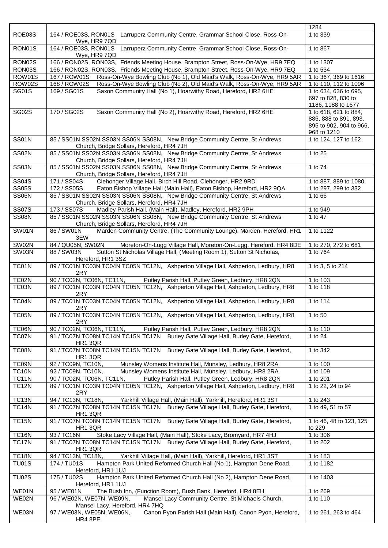|                                       |                                                                                                                          | 1284                                                                                     |
|---------------------------------------|--------------------------------------------------------------------------------------------------------------------------|------------------------------------------------------------------------------------------|
| ROE03S                                | 164 / ROE03S, RON01S<br>Larruperz Community Centre, Grammar School Close, Ross-On-<br>Wye, HR9 7QD                       | 1 to 339                                                                                 |
| RON01S                                | 164 / ROE03S, RON01S<br>Larruperz Community Centre, Grammar School Close, Ross-On-<br>Wye, HR9 7QD                       | 1 to 867                                                                                 |
| RON02S                                | 166 / RON02S, RON03S, Friends Meeting House, Brampton Street, Ross-On-Wye, HR9 7EQ                                       | 1 to 1307                                                                                |
| RON03S                                | 166 / RON02S, RON03S, Friends Meeting House, Brampton Street, Ross-On-Wye, HR9 7EQ                                       | 1 to 534                                                                                 |
| ROW01S                                | Ross-On-Wye Bowling Club (No 1), Old Maid's Walk, Ross-On-Wye, HR9 5AR<br>167 / ROW01S                                   | 1 to 367, 369 to 1616                                                                    |
| ROW02S                                | 168 / ROW02S<br>Ross-On-Wye Bowling Club (No 2), Old Maid's Walk, Ross-On-Wye, HR9 5AR                                   | 1 to 110, 112 to 1096                                                                    |
| <b>SG01S</b>                          | 169 / SG01S<br>Saxon Community Hall (No 1), Hoarwithy Road, Hereford, HR2 6HE                                            | 1 to 634, 636 to 695,<br>697 to 828, 830 to<br>1186, 1188 to 1677                        |
| <b>SG02S</b>                          | 170 / SG02S<br>Saxon Community Hall (No 2), Hoarwithy Road, Hereford, HR2 6HE                                            | 1 to 618, 621 to 884,<br>886, 888 to 891, 893,<br>895 to 902, 904 to 966,<br>968 to 1210 |
| <b>SS01N</b>                          | 85 / SS01N SS02N SS03N SS06N SS08N, New Bridge Community Centre, St Andrews<br>Church, Bridge Sollars, Hereford, HR4 7JH | 1 to 124, 127 to 162                                                                     |
| <b>SS02N</b>                          | 85 / SS01N SS02N SS03N SS06N SS08N, New Bridge Community Centre, St Andrews<br>Church, Bridge Sollars, Hereford, HR4 7JH | 1 to 25                                                                                  |
| <b>SS03N</b>                          | 85 / SS01N SS02N SS03N SS06N SS08N, New Bridge Community Centre, St Andrews<br>Church, Bridge Sollars, Hereford, HR4 7JH | 1 to 74                                                                                  |
| $\overline{\text{SS}}$ <sub>04S</sub> | Clehonger Village Hall, Birch Hill Road, Clehonger, HR2 9RD<br>171 / SS04S                                               | 1 to 887, 889 to 1080                                                                    |
| <b>SS05S</b>                          | Eaton Bishop Village Hall (Main Hall), Eaton Bishop, Hereford, HR2 9QA<br>172 / SS05S                                    | 1 to 297, 299 to 332                                                                     |
| SS06N                                 | 85 / SS01N SS02N SS03N SS06N SS08N, New Bridge Community Centre, St Andrews<br>Church, Bridge Sollars, Hereford, HR4 7JH | 1 to 66                                                                                  |
| <b>SS07S</b>                          | Madley Parish Hall, (Main Hall), Madley, Hereford, HR2 9PH<br>173 / SS07S                                                | 1 to 949                                                                                 |
| <b>SS08N</b>                          | 85 / SS01N SS02N SS03N SS06N SS08N, New Bridge Community Centre, St Andrews<br>Church, Bridge Sollars, Hereford, HR4 7JH | 1 to 47                                                                                  |
| SW01N                                 | Marden Community Centre, (The Community Lounge), Marden, Hereford, HR1<br>86 / SW01N<br>3EW                              | 1 to 1122                                                                                |
| SW02N                                 | 84 / QU05N, SW02N<br>Moreton-On-Lugg Village Hall, Moreton-On-Lugg, Hereford, HR4 8DE                                    | 1 to 270, 272 to 681                                                                     |
| SW03N                                 | Sutton St Nicholas Village Hall, (Meeting Room 1), Sutton St Nicholas,<br>88 / SW03N<br>Hereford, HR1 3SZ                | 1 to 764                                                                                 |
| TC01N                                 | 89 / TC01N TC03N TC04N TC05N TC12N, Ashperton Village Hall, Ashperton, Ledbury, HR8<br>2RY                               | 1 to 3, 5 to 214                                                                         |
| TC02N                                 | 90 / TC02N, TC06N, TC11N,<br>Putley Parish Hall, Putley Green, Ledbury, HR8 2QN                                          | 1 to 103                                                                                 |
| TC03N                                 | 89 / TC01N TC03N TC04N TC05N TC12N, Ashperton Village Hall, Ashperton, Ledbury, HR8<br>2RY                               | 1 to 118                                                                                 |
| TC04N                                 | 89 / TC01N TC03N TC04N TC05N TC12N, Ashperton Village Hall, Ashperton, Ledbury, HR8<br>2RY                               | 1 to 114                                                                                 |
| TC05N                                 | 89 / TC01N TC03N TC04N TC05N TC12N, Ashperton Village Hall, Ashperton, Ledbury, HR8<br>2RY                               | 1 to 50                                                                                  |
| TC06N                                 | 90 / TC02N, TC06N, TC11N,<br>Putley Parish Hall, Putley Green, Ledbury, HR8 2QN                                          | 1 to 110                                                                                 |
| TC07N                                 | 91 / TC07N TC08N TC14N TC15N TC17N Burley Gate Village Hall, Burley Gate, Hereford,<br>HR1 3QR                           | 1 to 24                                                                                  |
| TC08N                                 | 91 / TC07N TC08N TC14N TC15N TC17N Burley Gate Village Hall, Burley Gate, Hereford,<br>HR1 3QR                           | 1 to 342                                                                                 |
| TC09N                                 | 92 / TC09N, TC10N,<br>Munsley Womens Institute Hall, Munsley, Ledbury, HR8 2RA                                           | 1 to 100                                                                                 |
| <b>TC10N</b>                          | 92 / TC09N, TC10N,<br>Munsley Womens Institute Hall, Munsley, Ledbury, HR8 2RA                                           | 1 to 109                                                                                 |
| <b>TC11N</b>                          | Putley Parish Hall, Putley Green, Ledbury, HR8 2QN<br>90 / TC02N, TC06N, TC11N,                                          | 1 to 201                                                                                 |
| <b>TC12N</b>                          | 89 / TC01N TC03N TC04N TC05N TC12N, Ashperton Village Hall, Ashperton, Ledbury, HR8<br>2RY                               | 1 to 22, 24 to 94                                                                        |
| <b>TC13N</b>                          | 94 / TC13N, TC18N,<br>Yarkhill Village Hall, (Main Hall), Yarkhill, Hereford, HR1 3ST                                    | 1 to 243                                                                                 |
| <b>TC14N</b>                          | 91 / TC07N TC08N TC14N TC15N TC17N Burley Gate Village Hall, Burley Gate, Hereford,<br>HR1 3QR                           | 1 to 49, 51 to 57                                                                        |
| <b>TC15N</b>                          | 91 / TC07N TC08N TC14N TC15N TC17N Burley Gate Village Hall, Burley Gate, Hereford,<br>HR1 3QR                           | 1 to 46, 48 to 123, 125<br>to 229                                                        |
| <b>TC16N</b>                          | Stoke Lacy Village Hall, (Main Hall), Stoke Lacy, Bromyard, HR7 4HJ<br>93 / TC16N                                        | 1 to 306                                                                                 |
| <b>TC17N</b>                          | 91 / TC07N TC08N TC14N TC15N TC17N Burley Gate Village Hall, Burley Gate, Hereford,<br>HR1 3QR                           | 1 to 202                                                                                 |
| <b>TC18N</b>                          | 94 / TC13N, TC18N,<br>Yarkhill Village Hall, (Main Hall), Yarkhill, Hereford, HR1 3ST                                    | 1 to 183                                                                                 |
| <b>TU01S</b>                          | Hampton Park United Reformed Church Hall (No 1), Hampton Dene Road,<br>174 / TU01S<br>Hereford, HR1 1UJ                  | 1 to 1182                                                                                |
| <b>TU02S</b>                          | Hampton Park United Reformed Church Hall (No 2), Hampton Dene Road,<br>175 / TU02S<br>Hereford, HR1 1UJ                  | 1 to 1403                                                                                |
| WE01N                                 | 95 / WE01N<br>The Bush Inn, (Function Room), Bush Bank, Hereford, HR4 8EH                                                | 1 to 269                                                                                 |
| WE02N                                 | 96 / WE02N, WE07N, WE09N,<br>Mansel Lacy Community Centre, St Michaels Church,<br>Mansel Lacy, Hereford, HR4 7HQ         | 1 to 110                                                                                 |
| WE03N                                 | Canon Pyon Parish Hall (Main Hall), Canon Pyon, Hereford,<br>97 / WE03N, WE05N, WE06N,<br>HR4 8PE                        | 1 to 261, 263 to 464                                                                     |